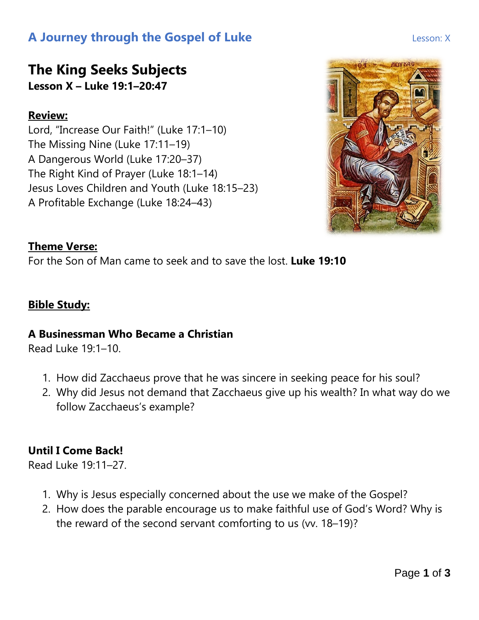## **A Journey through the Gospel of Luke Lesson: X** Lesson: X

# **The King Seeks Subjects**

**Lesson X – Luke 19:1–20:47**

#### **Review:**

Lord, "Increase Our Faith!" (Luke 17:1–10) The Missing Nine (Luke 17:11–19) A Dangerous World (Luke 17:20–37) The Right Kind of Prayer (Luke 18:1–14) Jesus Loves Children and Youth (Luke 18:15–23) A Profitable Exchange (Luke 18:24–43)



#### **Theme Verse:**

For the Son of Man came to seek and to save the lost. **Luke 19:10**

#### **Bible Study:**

#### **A Businessman Who Became a Christian**

Read Luke 19:1–10.

- 1. How did Zacchaeus prove that he was sincere in seeking peace for his soul?
- 2. Why did Jesus not demand that Zacchaeus give up his wealth? In what way do we follow Zacchaeus's example?

#### **Until I Come Back!**

Read Luke 19:11–27.

- 1. Why is Jesus especially concerned about the use we make of the Gospel?
- 2. How does the parable encourage us to make faithful use of God's Word? Why is the reward of the second servant comforting to us (vv. 18–19)?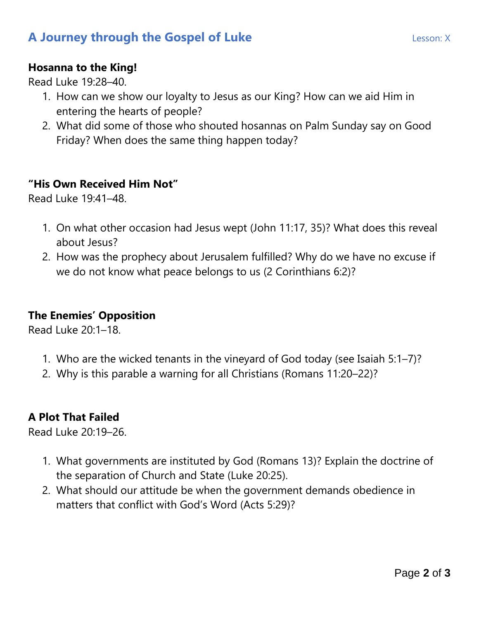## **A Journey through the Gospel of Luke Lesson: X** Lesson: X

#### **Hosanna to the King!**

Read Luke 19:28–40.

- 1. How can we show our loyalty to Jesus as our King? How can we aid Him in entering the hearts of people?
- 2. What did some of those who shouted hosannas on Palm Sunday say on Good Friday? When does the same thing happen today?

#### **"His Own Received Him Not"**

Read Luke 19:41–48.

- 1. On what other occasion had Jesus wept (John 11:17, 35)? What does this reveal about Jesus?
- 2. How was the prophecy about Jerusalem fulfilled? Why do we have no excuse if we do not know what peace belongs to us (2 Corinthians 6:2)?

#### **The Enemies' Opposition**

Read Luke 20:1–18.

- 1. Who are the wicked tenants in the vineyard of God today (see Isaiah 5:1–7)?
- 2. Why is this parable a warning for all Christians (Romans 11:20–22)?

#### **A Plot That Failed**

Read Luke 20:19–26.

- 1. What governments are instituted by God (Romans 13)? Explain the doctrine of the separation of Church and State (Luke 20:25).
- 2. What should our attitude be when the government demands obedience in matters that conflict with God's Word (Acts 5:29)?